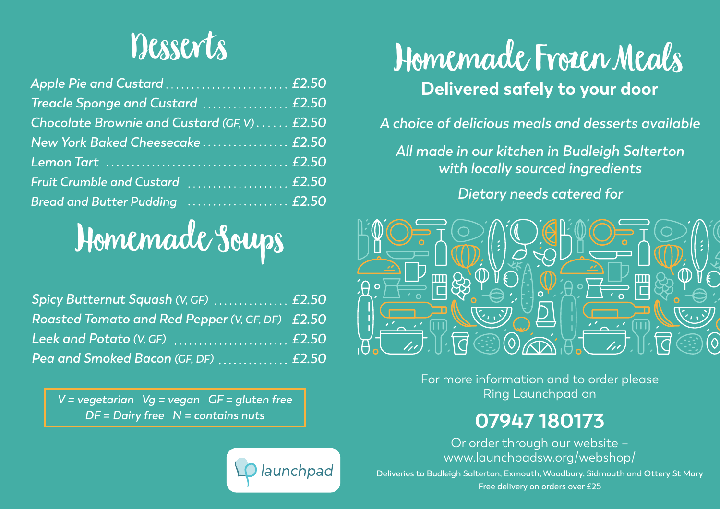## Desserts

| Apple Pie and Custard £2.50                  |  |
|----------------------------------------------|--|
| Treacle Sponge and Custard  £2.50            |  |
| Chocolate Brownie and Custard (GF, V)  £2.50 |  |
| New York Baked Cheesecake £2.50              |  |
|                                              |  |
| Fruit Crumble and Custard  £2.50             |  |
| Bread and Butter Pudding  £2.50              |  |

# Homemade Soups

| Spicy Butternut Squash (V, GF)  £2.50           |  |
|-------------------------------------------------|--|
| Roasted Tomato and Red Pepper (V, GF, DF) £2.50 |  |
|                                                 |  |
| <u> Pea and Smoked Bacon (GF, DF)</u> £2.50     |  |

*V = vegetarian Vg = vegan GF = gluten free DF* = Dairy free  $N =$  contains nuts



## Homemade Frozen Meals **Delivered safely to your door**

*A choice of delicious meals and desserts available*

*All made in our kitchen in Budleigh Salterton with locally sourced ingredients*

#### *Dietary needs catered for*



For more information and to order please Ring Launchpad on

### **07947 180173**

Or order through our website – www.launchpadsw.org/webshop/

**Deliveries to Budleigh Salterton, Exmouth, Woodbury, Sidmouth and Ottery St Mary Free delivery on orders over £25**